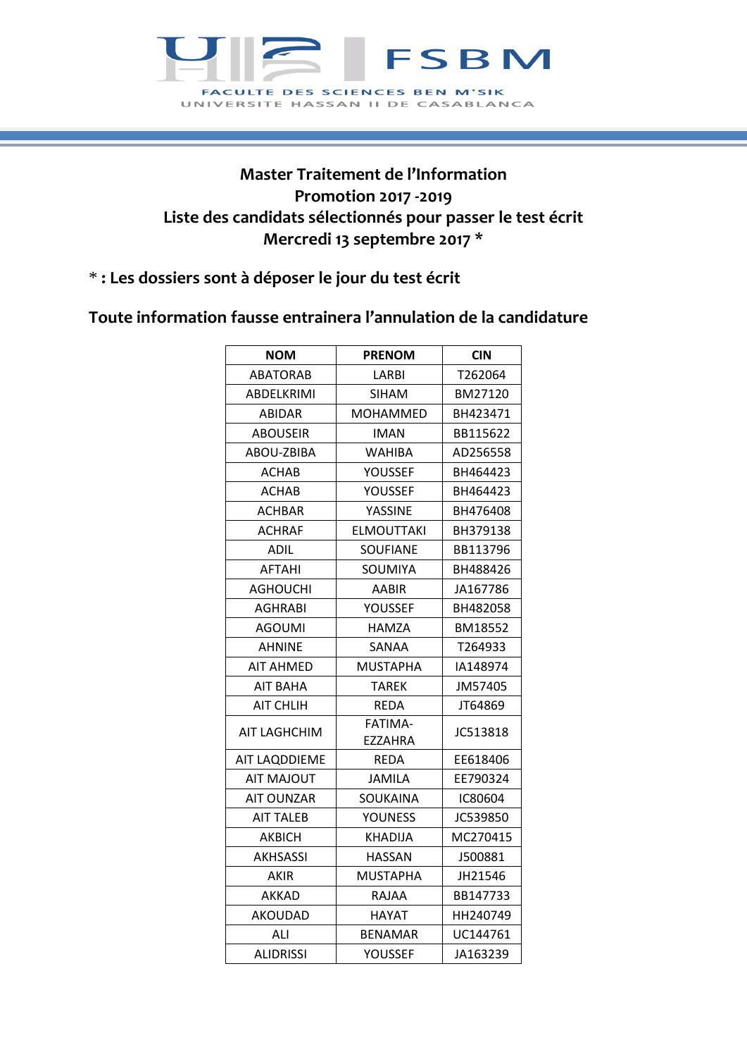

## **Master Traitement de l'Information Promotion 2017 -2019 Liste des candidats sélectionnés pour passer le test écrit Mercredi 13 septembre 2017 \***

## \* **: Les dossiers sont à déposer le jour du test écrit**

## **Toute information fausse entrainera l'annulation de la candidature**

| <b>NOM</b>        | <b>PRENOM</b>      | <b>CIN</b> |
|-------------------|--------------------|------------|
| <b>ABATORAB</b>   | LARBI              | T262064    |
| ABDELKRIMI        | <b>SIHAM</b>       | BM27120    |
| ABIDAR            | <b>MOHAMMED</b>    | BH423471   |
| <b>ABOUSEIR</b>   | <b>IMAN</b>        | BB115622   |
| ABOU-ZBIBA        | WAHIBA             | AD256558   |
| ACHAB             | YOUSSEF            | BH464423   |
| ACHAB             | YOUSSEF            | BH464423   |
| <b>ACHBAR</b>     | YASSINE            | BH476408   |
| <b>ACHRAF</b>     | <b>ELMOUTTAKI</b>  | BH379138   |
| ADIL              | SOUFIANE           | BB113796   |
| <b>AFTAHI</b>     | SOUMIYA            | BH488426   |
| AGHOUCHI          | AABIR              | JA167786   |
| <b>AGHRABI</b>    | YOUSSEF            | BH482058   |
| <b>AGOUMI</b>     | HAMZA              | BM18552    |
| <b>AHNINE</b>     | SANAA              | T264933    |
| <b>AIT AHMED</b>  | MUSTAPHA           | IA148974   |
| <b>AIT BAHA</b>   | TAREK              | JM57405    |
| <b>AIT CHLIH</b>  | <b>REDA</b>        | JT64869    |
| AIT LAGHCHIM      | FATIMA-<br>EZZAHRA | JC513818   |
| AIT LAQDDIEME     | REDA               | EE618406   |
| <b>AIT MAJOUT</b> | <b>JAMILA</b>      | EE790324   |
| <b>AIT OUNZAR</b> | SOUKAINA           | IC80604    |
| <b>AIT TALEB</b>  | <b>YOUNESS</b>     | JC539850   |
| <b>AKBICH</b>     | <b>KHADIJA</b>     | MC270415   |
| <b>AKHSASSI</b>   | <b>HASSAN</b>      | J500881    |
| AKIR              | MUSTAPHA           | JH21546    |
| <b>AKKAD</b>      | RAJAA              | BB147733   |
| AKOUDAD           | HAYAT              | HH240749   |
| ALI               | <b>BENAMAR</b>     | UC144761   |
| <b>ALIDRISSI</b>  | YOUSSEF            | JA163239   |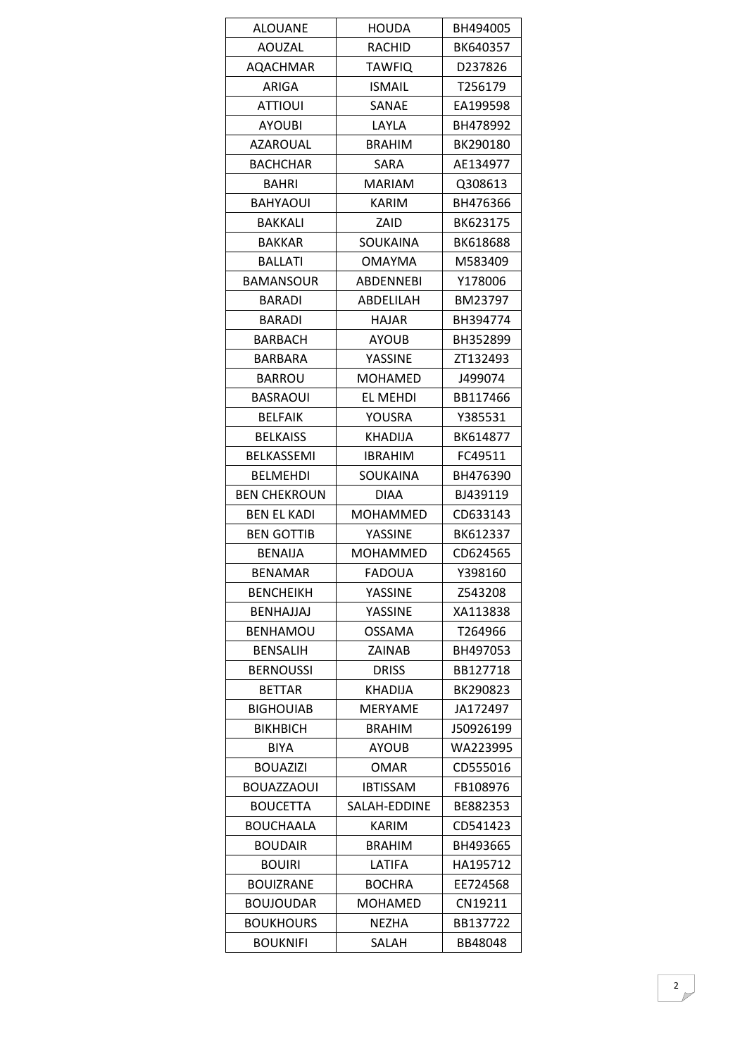| <b>ALOUANE</b>      | <b>HOUDA</b>     | BH494005  |
|---------------------|------------------|-----------|
| AOUZAL              | RACHID           | BK640357  |
| <b>AQACHMAR</b>     | <b>TAWFIQ</b>    | D237826   |
| ARIGA               | <b>ISMAIL</b>    | T256179   |
| <b>ATTIOUI</b>      | SANAE            | EA199598  |
| <b>AYOUBI</b>       | LAYLA            | BH478992  |
| <b>AZAROUAL</b>     | <b>BRAHIM</b>    | BK290180  |
| <b>BACHCHAR</b>     | <b>SARA</b>      | AE134977  |
| BAHRI               | <b>MARIAM</b>    | Q308613   |
| <b>BAHYAOUI</b>     | KARIM            | BH476366  |
| <b>BAKKALI</b>      | ZAID             | BK623175  |
| <b>BAKKAR</b>       | SOUKAINA         | BK618688  |
| <b>BALLATI</b>      | <b>OMAYMA</b>    | M583409   |
| <b>BAMANSOUR</b>    | <b>ABDENNEBI</b> | Y178006   |
| <b>BARADI</b>       | ABDELILAH        | BM23797   |
| BARADI              | <b>HAJAR</b>     | BH394774  |
| BARBACH             | <b>AYOUB</b>     | BH352899  |
| <b>BARBARA</b>      | YASSINE          | ZT132493  |
| <b>BARROU</b>       | <b>MOHAMED</b>   | J499074   |
| <b>BASRAOUI</b>     | EL MEHDI         | BB117466  |
| <b>BELFAIK</b>      | YOUSRA           | Y385531   |
| <b>BELKAISS</b>     | <b>KHADIJA</b>   | BK614877  |
| <b>BELKASSEMI</b>   | <b>IBRAHIM</b>   | FC49511   |
| <b>BELMEHDI</b>     | SOUKAINA         | BH476390  |
| <b>BEN CHEKROUN</b> | <b>DIAA</b>      | BJ439119  |
| BEN EL KADI         | MOHAMMED         | CD633143  |
| <b>BEN GOTTIB</b>   | YASSINE          | BK612337  |
| <b>BENAIJA</b>      | <b>MOHAMMED</b>  | CD624565  |
| <b>BENAMAR</b>      | FADOUA           | Y398160   |
| <b>BENCHEIKH</b>    | YASSINE          | Z543208   |
| <b>BENHAJJAJ</b>    | YASSINE          | XA113838  |
| <b>BENHAMOU</b>     | <b>OSSAMA</b>    | T264966   |
| <b>BENSALIH</b>     | ZAINAB           | BH497053  |
| <b>BERNOUSSI</b>    | <b>DRISS</b>     | BB127718  |
| <b>BETTAR</b>       | <b>KHADIJA</b>   | BK290823  |
| <b>BIGHOUIAB</b>    | <b>MERYAME</b>   | JA172497  |
| <b>BIKHBICH</b>     | <b>BRAHIM</b>    | J50926199 |
| <b>BIYA</b>         | <b>AYOUB</b>     | WA223995  |
| <b>BOUAZIZI</b>     | <b>OMAR</b>      | CD555016  |
| <b>BOUAZZAOUI</b>   | <b>IBTISSAM</b>  | FB108976  |
| <b>BOUCETTA</b>     | SALAH-EDDINE     | BE882353  |
| <b>BOUCHAALA</b>    | <b>KARIM</b>     | CD541423  |
| <b>BOUDAIR</b>      | <b>BRAHIM</b>    | BH493665  |
| <b>BOUIRI</b>       | LATIFA           | HA195712  |
| <b>BOUIZRANE</b>    | <b>BOCHRA</b>    | EE724568  |
| <b>BOUJOUDAR</b>    | <b>MOHAMED</b>   | CN19211   |
| <b>BOUKHOURS</b>    | <b>NEZHA</b>     | BB137722  |
| <b>BOUKNIFI</b>     | SALAH            | BB48048   |
|                     |                  |           |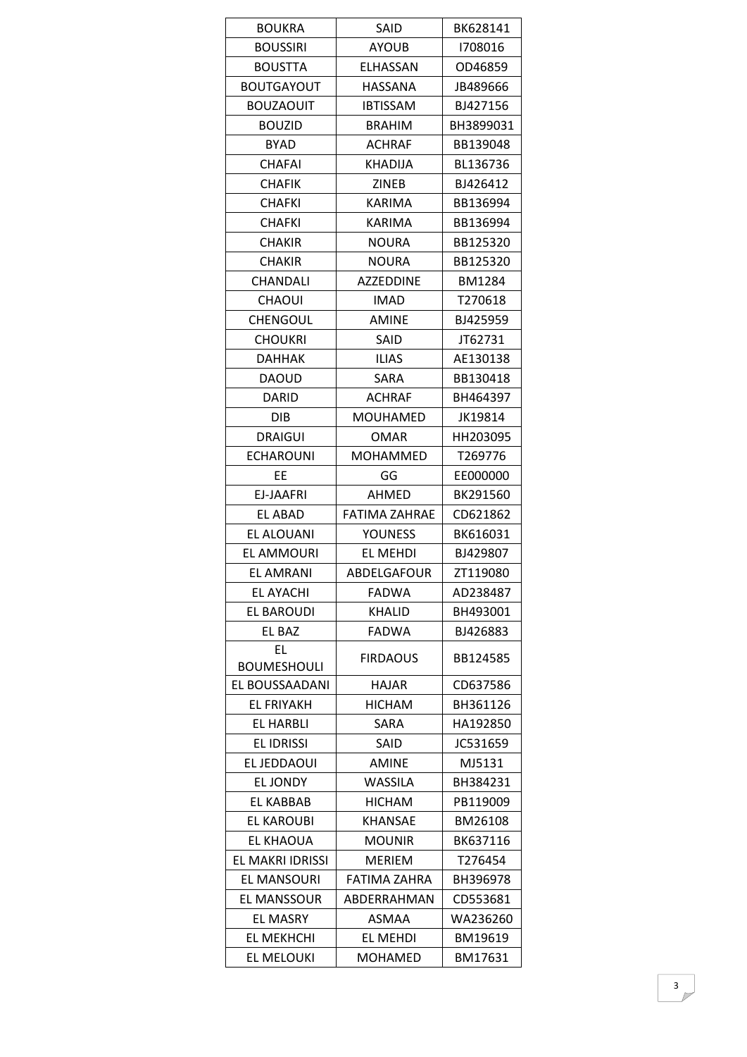| <b>BOUKRA</b>      | SAID             | BK628141      |
|--------------------|------------------|---------------|
| <b>BOUSSIRI</b>    | <b>AYOUB</b>     | 1708016       |
| <b>BOUSTTA</b>     | ELHASSAN         | OD46859       |
| <b>BOUTGAYOUT</b>  | HASSANA          | JB489666      |
| <b>BOUZAOUIT</b>   | <b>IBTISSAM</b>  | BJ427156      |
| <b>BOUZID</b>      | <b>BRAHIM</b>    | BH3899031     |
| <b>BYAD</b>        | <b>ACHRAF</b>    | BB139048      |
| <b>CHAFAI</b>      | <b>KHADIJA</b>   | BL136736      |
| <b>CHAFIK</b>      | <b>ZINEB</b>     | BJ426412      |
| CHAFKI             | <b>KARIMA</b>    | BB136994      |
| <b>CHAFKI</b>      | KARIMA           | BB136994      |
| <b>CHAKIR</b>      | <b>NOURA</b>     | BB125320      |
| <b>CHAKIR</b>      | <b>NOURA</b>     | BB125320      |
| CHANDALI           | <b>AZZEDDINE</b> | <b>BM1284</b> |
| <b>CHAOUI</b>      | IMAD             | T270618       |
| <b>CHENGOUL</b>    | <b>AMINE</b>     | BJ425959      |
| <b>CHOUKRI</b>     | SAID             | JT62731       |
| <b>DAHHAK</b>      | <b>ILIAS</b>     | AE130138      |
| DAOUD              | SARA             | BB130418      |
| DARID              | <b>ACHRAF</b>    | BH464397      |
| <b>DIB</b>         | <b>MOUHAMED</b>  | JK19814       |
| <b>DRAIGUI</b>     | <b>OMAR</b>      | HH203095      |
| <b>ECHAROUNI</b>   | <b>MOHAMMED</b>  | T269776       |
| EE                 | GG               | EE000000      |
| EJ-JAAFRI          | AHMED            | BK291560      |
| EL ABAD            | FATIMA ZAHRAE    | CD621862      |
| EL ALOUANI         | <b>YOUNESS</b>   | BK616031      |
| EL AMMOURI         | EL MEHDI         | BJ429807      |
| <b>EL AMRANI</b>   | ABDELGAFOUR      | ZT119080      |
| <b>EL AYACHI</b>   | <b>FADWA</b>     | AD238487      |
| <b>EL BAROUDI</b>  | <b>KHALID</b>    | BH493001      |
| EL BAZ             | <b>FADWA</b>     | BJ426883      |
| EL                 |                  |               |
| <b>BOUMESHOULI</b> | <b>FIRDAOUS</b>  | BB124585      |
| EL BOUSSAADANI     | <b>HAJAR</b>     | CD637586      |
| <b>EL FRIYAKH</b>  | <b>HICHAM</b>    | BH361126      |
| EL HARBLI          | SARA             | HA192850      |
| <b>EL IDRISSI</b>  | SAID             | JC531659      |
| EL JEDDAOUI        | AMINE            | MJ5131        |
| <b>EL JONDY</b>    | WASSILA          | BH384231      |
| EL KABBAB          | <b>HICHAM</b>    | PB119009      |
| EL KAROUBI         | <b>KHANSAE</b>   | BM26108       |
| <b>EL KHAOUA</b>   | <b>MOUNIR</b>    | BK637116      |
| EL MAKRI IDRISSI   | <b>MERIEM</b>    | T276454       |
| <b>EL MANSOURI</b> | FATIMA ZAHRA     | BH396978      |
| <b>EL MANSSOUR</b> | ABDERRAHMAN      | CD553681      |
| <b>EL MASRY</b>    | ASMAA            | WA236260      |
| EL MEKHCHI         | EL MEHDI         | BM19619       |
| EL MELOUKI         | <b>MOHAMED</b>   | BM17631       |
|                    |                  |               |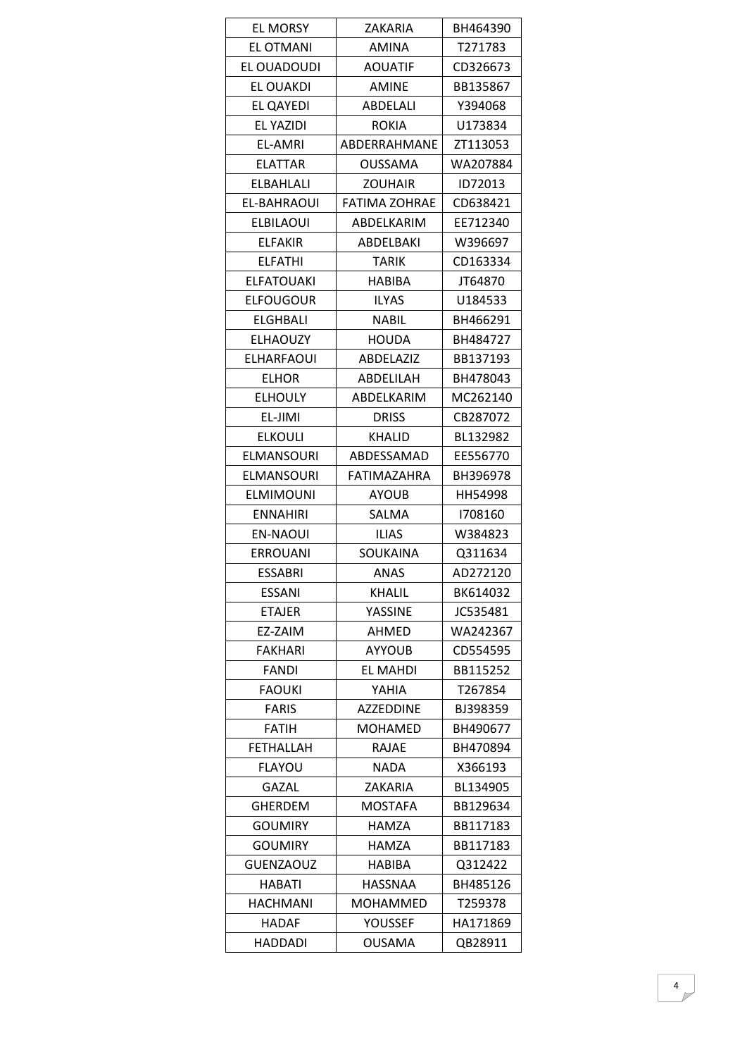| <b>EL MORSY</b>   | ZAKARIA              | BH464390            |
|-------------------|----------------------|---------------------|
| <b>EL OTMANI</b>  | <b>AMINA</b>         | T271783             |
| EL OUADOUDI       | <b>AOUATIF</b>       | CD326673            |
| <b>EL OUAKDI</b>  | <b>AMINE</b>         | BB135867            |
| EL QAYEDI         | ABDELALI             | Y394068             |
| EL YAZIDI         | <b>ROKIA</b>         | U173834             |
| EL-AMRI           | ABDERRAHMANE         | ZT113053            |
| <b>ELATTAR</b>    | <b>OUSSAMA</b>       | WA207884            |
| <b>ELBAHLALI</b>  | <b>ZOUHAIR</b>       | ID72013             |
| EL-BAHRAOUI       | <b>FATIMA ZOHRAE</b> | CD638421            |
| <b>ELBILAOUI</b>  | ABDELKARIM           | EE712340            |
| <b>ELFAKIR</b>    | ABDELBAKI            | W396697             |
| <b>ELFATHI</b>    | TARIK                | CD163334            |
| <b>ELFATOUAKI</b> | HABIBA               | JT64870             |
| <b>ELFOUGOUR</b>  | <b>ILYAS</b>         | U184533             |
| ELGHBALI          | <b>NABIL</b>         | BH466291            |
| <b>ELHAOUZY</b>   | <b>HOUDA</b>         | BH484727            |
| <b>ELHARFAOUI</b> | ABDELAZIZ            | BB137193            |
| <b>ELHOR</b>      | ABDELILAH            | BH478043            |
| <b>ELHOULY</b>    | ABDELKARIM           | MC262140            |
| EL-JIMI           | <b>DRISS</b>         | CB287072            |
| <b>ELKOULI</b>    | <b>KHALID</b>        | BL132982            |
| <b>ELMANSOURI</b> | ABDESSAMAD           | EE556770            |
|                   | FATIMAZAHRA          |                     |
| <b>ELMANSOURI</b> |                      | BH396978<br>HH54998 |
| <b>ELMIMOUNI</b>  | <b>AYOUB</b>         |                     |
| ENNAHIRI          | SALMA                | 1708160             |
| <b>EN-NAOUI</b>   | <b>ILIAS</b>         | W384823             |
| <b>ERROUANI</b>   | SOUKAINA             | Q311634             |
| <b>ESSABRI</b>    | ANAS                 | AD272120            |
| <b>ESSANI</b>     | <b>KHALIL</b>        | BK614032            |
| <b>ETAJER</b>     | YASSINE              | JC535481            |
| EZ-ZAIM           | AHMED                | WA242367            |
| <b>FAKHARI</b>    | AYYOUB               | CD554595            |
| <b>FANDI</b>      | <b>EL MAHDI</b>      | BB115252            |
| <b>FAOUKI</b>     | YAHIA                | T267854             |
| <b>FARIS</b>      | <b>AZZEDDINE</b>     | BJ398359            |
| <b>FATIH</b>      | <b>MOHAMED</b>       | BH490677            |
| <b>FETHALLAH</b>  | RAJAE                | BH470894            |
| <b>FLAYOU</b>     | <b>NADA</b>          | X366193             |
| <b>GAZAL</b>      | ZAKARIA              | BL134905            |
| <b>GHERDEM</b>    | MOSTAFA              | BB129634            |
| <b>GOUMIRY</b>    | <b>HAMZA</b>         | BB117183            |
| <b>GOUMIRY</b>    | HAMZA                | BB117183            |
| <b>GUENZAOUZ</b>  | <b>HABIBA</b>        | Q312422             |
| HABATI            | <b>HASSNAA</b>       | BH485126            |
| <b>HACHMANI</b>   | MOHAMMED             | T259378             |
| HADAF             | YOUSSEF              | HA171869            |
| <b>HADDADI</b>    | <b>OUSAMA</b>        | QB28911             |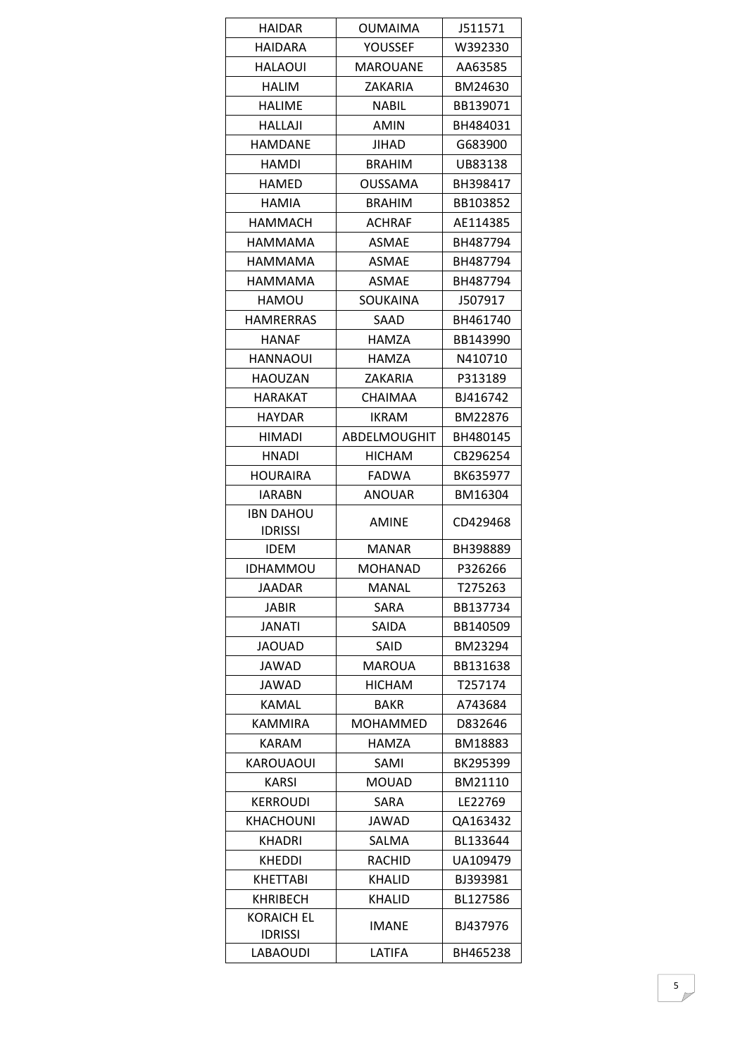| HAIDAR                              | <b>OUMAIMA</b>      | J511571  |
|-------------------------------------|---------------------|----------|
| <b>HAIDARA</b>                      | YOUSSEF             | W392330  |
| <b>HALAOUI</b>                      | <b>MAROUANE</b>     | AA63585  |
| <b>HALIM</b>                        | ZAKARIA             | BM24630  |
| <b>HALIME</b>                       | <b>NABIL</b>        | BB139071 |
| <b>HALLAJI</b>                      | <b>AMIN</b>         | BH484031 |
| HAMDANE                             | JIHAD               | G683900  |
| <b>HAMDI</b>                        | <b>BRAHIM</b>       | UB83138  |
| <b>HAMED</b>                        | <b>OUSSAMA</b>      | BH398417 |
| <b>HAMIA</b>                        | BRAHIM              | BB103852 |
| <b>HAMMACH</b>                      | <b>ACHRAF</b>       | AE114385 |
| HAMMAMA                             | <b>ASMAE</b>        | BH487794 |
| HAMMAMA                             | <b>ASMAE</b>        | BH487794 |
| HAMMAMA                             | <b>ASMAE</b>        | BH487794 |
| HAMOU                               | SOUKAINA            | J507917  |
| HAMRERRAS                           | SAAD                | BH461740 |
| <b>HANAF</b>                        | HAMZA               | BB143990 |
| <b>HANNAOUI</b>                     | <b>HAMZA</b>        | N410710  |
| HAOUZAN                             | ZAKARIA             | P313189  |
| HARAKAT                             | <b>CHAIMAA</b>      | BJ416742 |
| <b>HAYDAR</b>                       | <b>IKRAM</b>        | BM22876  |
| <b>HIMADI</b>                       | <b>ABDELMOUGHIT</b> | BH480145 |
| HNADI                               | <b>HICHAM</b>       | CB296254 |
| <b>HOURAIRA</b>                     | <b>FADWA</b>        | BK635977 |
| IARABN                              | <b>ANOUAR</b>       | BM16304  |
| <b>IBN DAHOU</b><br><b>IDRISSI</b>  | <b>AMINE</b>        | CD429468 |
| <b>IDEM</b>                         | <b>MANAR</b>        | BH398889 |
| <b>IDHAMMOU</b>                     | MOHANAD             | P326266  |
| <b>JAADAR</b>                       | MANAL               | T275263  |
| <b>JABIR</b>                        | SARA                | BB137734 |
| JANATI                              | SAIDA               | BB140509 |
| <b>JAOUAD</b>                       | SAID                | BM23294  |
| JAWAD                               | <b>MAROUA</b>       | BB131638 |
| JAWAD                               | <b>HICHAM</b>       | T257174  |
| <b>KAMAL</b>                        | BAKR                | A743684  |
| <b>KAMMIRA</b>                      | <b>MOHAMMED</b>     | D832646  |
| <b>KARAM</b>                        | HAMZA               | BM18883  |
| <b>KAROUAOUI</b>                    | SAMI                | BK295399 |
| KARSI                               | <b>MOUAD</b>        | BM21110  |
| <b>KERROUDI</b>                     | SARA                | LE22769  |
| <b>KHACHOUNI</b>                    | JAWAD               | QA163432 |
| <b>KHADRI</b>                       | SALMA               | BL133644 |
| KHEDDI                              | RACHID              | UA109479 |
| <b>KHETTABI</b>                     | <b>KHALID</b>       | BJ393981 |
| <b>KHRIBECH</b>                     | <b>KHALID</b>       | BL127586 |
| <b>KORAICH EL</b><br><b>IDRISSI</b> | <b>IMANE</b>        | BJ437976 |
| LABAOUDI                            | LATIFA              | BH465238 |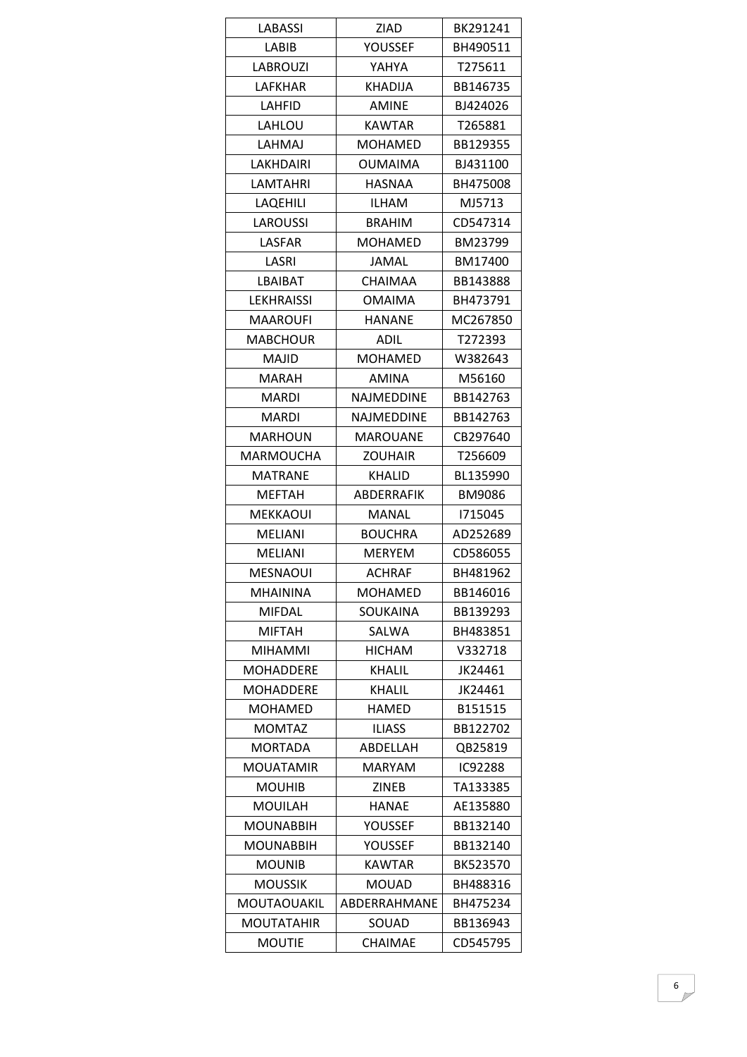| LABASSI            | ZIAD            | BK291241 |
|--------------------|-----------------|----------|
| LABIB              | <b>YOUSSEF</b>  | BH490511 |
| <b>LABROUZI</b>    | YAHYA           | T275611  |
| LAFKHAR            | <b>KHADIJA</b>  | BB146735 |
| LAHFID             | <b>AMINE</b>    | BJ424026 |
| LAHLOU             | <b>KAWTAR</b>   | T265881  |
| LAHMAJ             | <b>MOHAMED</b>  | BB129355 |
| LAKHDAIRI          | <b>OUMAIMA</b>  | BJ431100 |
| <b>LAMTAHRI</b>    | HASNAA          | BH475008 |
| LAQEHILI           | <b>ILHAM</b>    | MJ5713   |
| LAROUSSI           | BRAHIM          | CD547314 |
| LASFAR             | <b>MOHAMED</b>  | BM23799  |
| LASRI              | JAMAL           | BM17400  |
| LBAIBAT            | <b>CHAIMAA</b>  | BB143888 |
| <b>LEKHRAISSI</b>  | <b>OMAIMA</b>   | BH473791 |
| <b>MAAROUFI</b>    | <b>HANANE</b>   | MC267850 |
| MABCHOUR           | ADIL            | T272393  |
| MAJID              | <b>MOHAMED</b>  | W382643  |
| <b>MARAH</b>       | AMINA           | M56160   |
| MARDI              | NAJMEDDINE      | BB142763 |
| <b>MARDI</b>       | NAJMEDDINE      | BB142763 |
| <b>MARHOUN</b>     | <b>MAROUANE</b> | CB297640 |
| <b>MARMOUCHA</b>   | <b>ZOUHAIR</b>  | T256609  |
| <b>MATRANE</b>     | <b>KHALID</b>   | BL135990 |
| <b>MEFTAH</b>      | ABDERRAFIK      | BM9086   |
| MEKKAOUI           | MANAL           | 1715045  |
| <b>MELIANI</b>     | <b>BOUCHRA</b>  | AD252689 |
| <b>MELIANI</b>     | <b>MERYEM</b>   | CD586055 |
| MESNAOUI           | ACHRAF          | BH481962 |
| <b>MHAININA</b>    | <b>MOHAMED</b>  | BB146016 |
| <b>MIFDAL</b>      | SOUKAINA        | BB139293 |
| <b>MIFTAH</b>      | SALWA           | BH483851 |
| <b>MIHAMMI</b>     | <b>HICHAM</b>   | V332718  |
| <b>MOHADDERE</b>   | <b>KHALIL</b>   | JK24461  |
| <b>MOHADDERE</b>   | <b>KHALIL</b>   | JK24461  |
| <b>MOHAMED</b>     | HAMED           | B151515  |
| <b>MOMTAZ</b>      | <b>ILIASS</b>   | BB122702 |
| <b>MORTADA</b>     | ABDELLAH        | QB25819  |
| MOUATAMIR          | <b>MARYAM</b>   | IC92288  |
| <b>MOUHIB</b>      | <b>ZINEB</b>    | TA133385 |
| <b>MOUILAH</b>     | <b>HANAE</b>    | AE135880 |
| <b>MOUNABBIH</b>   | <b>YOUSSEF</b>  | BB132140 |
| <b>MOUNABBIH</b>   | YOUSSEF         | BB132140 |
| <b>MOUNIB</b>      | KAWTAR          | BK523570 |
| <b>MOUSSIK</b>     | <b>MOUAD</b>    | BH488316 |
| <b>MOUTAOUAKIL</b> | ABDERRAHMANE    | BH475234 |
| <b>MOUTATAHIR</b>  | SOUAD           | BB136943 |
| <b>MOUTIE</b>      | <b>CHAIMAE</b>  | CD545795 |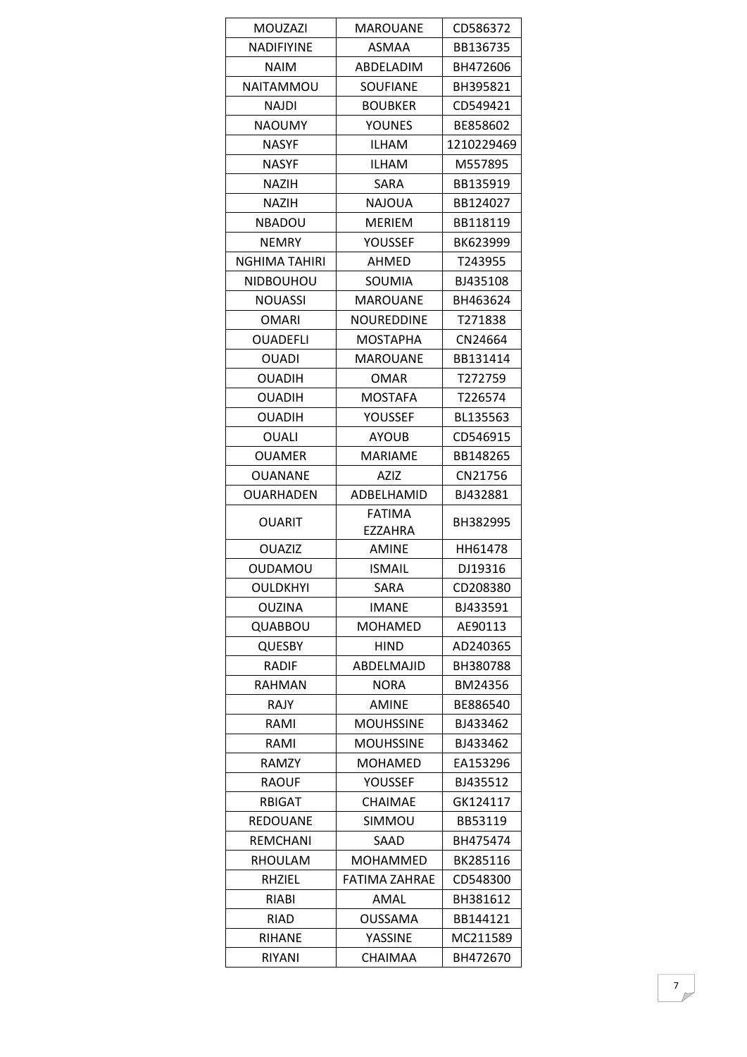| <b>MOUZAZI</b>       | MAROUANE          | CD586372   |
|----------------------|-------------------|------------|
| <b>NADIFIYINE</b>    | ASMAA             | BB136735   |
| <b>NAIM</b>          | ABDELADIM         | BH472606   |
| <b>NAITAMMOU</b>     | <b>SOUFIANE</b>   | BH395821   |
| NAJDI                | <b>BOUBKER</b>    | CD549421   |
| <b>NAOUMY</b>        | <b>YOUNES</b>     | BE858602   |
| <b>NASYF</b>         | ILHAM             | 1210229469 |
| <b>NASYF</b>         | <b>ILHAM</b>      | M557895    |
| <b>NAZIH</b>         | <b>SARA</b>       | BB135919   |
| <b>NAZIH</b>         | <b>NAJOUA</b>     | BB124027   |
| <b>NBADOU</b>        | <b>MERIEM</b>     | BB118119   |
| <b>NEMRY</b>         | <b>YOUSSEF</b>    | BK623999   |
| <b>NGHIMA TAHIRI</b> | AHMED             | T243955    |
| <b>NIDBOUHOU</b>     | SOUMIA            | BJ435108   |
| <b>NOUASSI</b>       | <b>MAROUANE</b>   | BH463624   |
| <b>OMARI</b>         | <b>NOUREDDINE</b> | T271838    |
| <b>OUADEFLI</b>      | <b>MOSTAPHA</b>   | CN24664    |
| <b>OUADI</b>         | <b>MAROUANE</b>   | BB131414   |
| <b>OUADIH</b>        | OMAR              | T272759    |
| <b>OUADIH</b>        | <b>MOSTAFA</b>    | T226574    |
| <b>OUADIH</b>        | <b>YOUSSEF</b>    | BL135563   |
| <b>OUALI</b>         | <b>AYOUB</b>      | CD546915   |
| <b>OUAMER</b>        | MARIAME           | BB148265   |
| <b>OUANANE</b>       | AZIZ              | CN21756    |
| <b>OUARHADEN</b>     | ADBELHAMID        | BJ432881   |
|                      | <b>FATIMA</b>     |            |
| <b>OUARIT</b>        | EZZAHRA           | BH382995   |
| <b>OUAZIZ</b>        | <b>AMINE</b>      | HH61478    |
| <b>OUDAMOU</b>       | <b>ISMAIL</b>     | DJ19316    |
| <b>OULDKHYI</b>      | SARA              | CD208380   |
| <b>OUZINA</b>        | <b>IMANE</b>      | BJ433591   |
| QUABBOU              | <b>MOHAMED</b>    | AE90113    |
| <b>QUESBY</b>        | <b>HIND</b>       | AD240365   |
| <b>RADIF</b>         | ABDELMAJID        | BH380788   |
| <b>RAHMAN</b>        | <b>NORA</b>       | BM24356    |
| <b>RAJY</b>          | <b>AMINE</b>      | BE886540   |
| RAMI                 | <b>MOUHSSINE</b>  | BJ433462   |
| RAMI                 | <b>MOUHSSINE</b>  | BJ433462   |
| <b>RAMZY</b>         | <b>MOHAMED</b>    | EA153296   |
| <b>RAOUF</b>         | YOUSSEF           | BJ435512   |
| <b>RBIGAT</b>        | <b>CHAIMAE</b>    | GK124117   |
| <b>REDOUANE</b>      | <b>SIMMOU</b>     | BB53119    |
| <b>REMCHANI</b>      | SAAD              | BH475474   |
| RHOULAM              | <b>MOHAMMED</b>   | BK285116   |
| <b>RHZIEL</b>        | FATIMA ZAHRAE     | CD548300   |
| RIABI                | AMAL              | BH381612   |
| <b>RIAD</b>          | <b>OUSSAMA</b>    | BB144121   |
| <b>RIHANE</b>        | YASSINE           | MC211589   |
| <b>RIYANI</b>        | <b>CHAIMAA</b>    | BH472670   |
|                      |                   |            |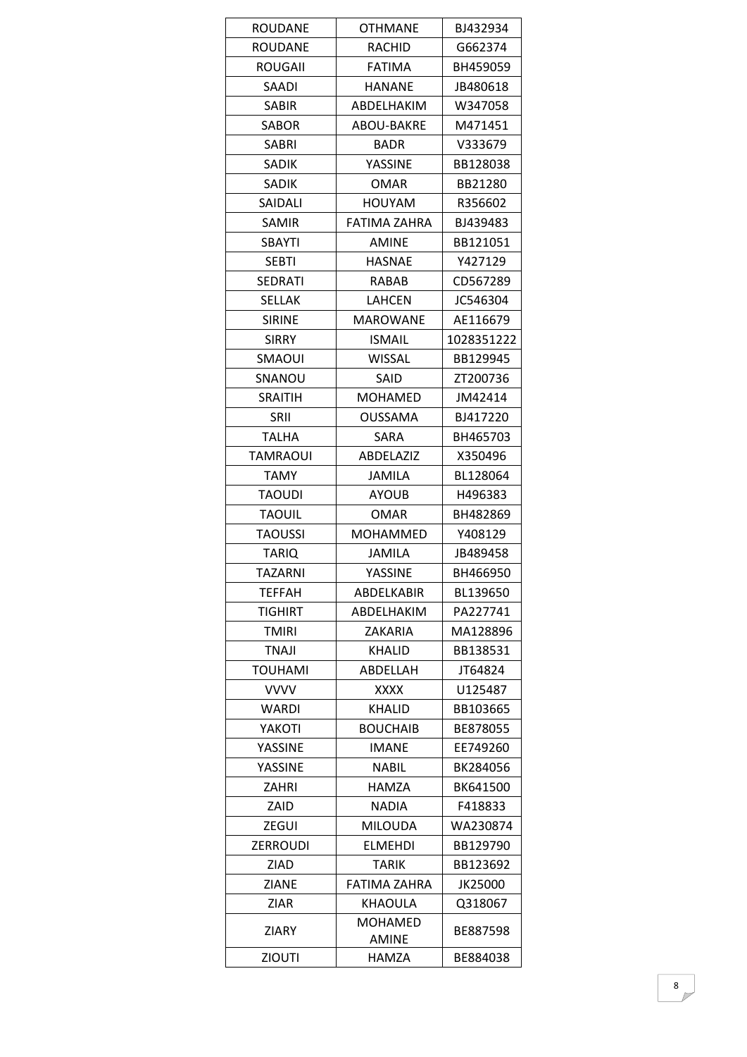| <b>ROUDANE</b>  | <b>OTHMANE</b>    | BJ432934   |
|-----------------|-------------------|------------|
| <b>ROUDANE</b>  | <b>RACHID</b>     | G662374    |
| <b>ROUGAII</b>  | <b>FATIMA</b>     | BH459059   |
| SAADI           | HANANE            | JB480618   |
| <b>SABIR</b>    | ABDELHAKIM        | W347058    |
| <b>SABOR</b>    | ABOU-BAKRE        | M471451    |
| SABRI           | <b>BADR</b>       | V333679    |
| SADIK           | YASSINE           | BB128038   |
| <b>SADIK</b>    | <b>OMAR</b>       | BB21280    |
| SAIDALI         | <b>HOUYAM</b>     | R356602    |
| <b>SAMIR</b>    | FATIMA ZAHRA      | BJ439483   |
| <b>SBAYTI</b>   | <b>AMINE</b>      | BB121051   |
| <b>SEBTI</b>    | <b>HASNAE</b>     | Y427129    |
| <b>SEDRATI</b>  | RABAB             | CD567289   |
| <b>SELLAK</b>   | <b>LAHCEN</b>     | JC546304   |
| <b>SIRINE</b>   | <b>MAROWANE</b>   | AE116679   |
| <b>SIRRY</b>    | <b>ISMAIL</b>     | 1028351222 |
| <b>SMAOUI</b>   | WISSAL            | BB129945   |
| SNANOU          | SAID              | ZT200736   |
| <b>SRAITIH</b>  | <b>MOHAMED</b>    | JM42414    |
| <b>SRII</b>     | <b>OUSSAMA</b>    | BJ417220   |
| <b>TALHA</b>    | SARA              | BH465703   |
| <b>TAMRAOUI</b> | ABDELAZIZ         | X350496    |
| <b>TAMY</b>     | JAMILA            | BL128064   |
| <b>TAOUDI</b>   | <b>AYOUB</b>      | H496383    |
| <b>TAOUIL</b>   | <b>OMAR</b>       | BH482869   |
| <b>TAOUSSI</b>  | <b>MOHAMMED</b>   | Y408129    |
| <b>TARIQ</b>    | JAMILA            | JB489458   |
| <b>TAZARNI</b>  | YASSINE           | BH466950   |
| <b>TEFFAH</b>   | <b>ABDELKABIR</b> | BL139650   |
| <b>TIGHIRT</b>  | ABDELHAKIM        | PA227741   |
| <b>TMIRI</b>    | ZAKARIA           | MA128896   |
| TNAJI           | KHALID            | BB138531   |
| <b>TOUHAMI</b>  | ABDELLAH          | JT64824    |
| <b>VVVV</b>     | XXXX              | U125487    |
| <b>WARDI</b>    | KHALID            | BB103665   |
| YAKOTI          | <b>BOUCHAIB</b>   | BE878055   |
| <b>YASSINE</b>  | <b>IMANE</b>      | EE749260   |
| YASSINE         | <b>NABIL</b>      | BK284056   |
| ZAHRI           | HAMZA             | BK641500   |
| ZAID            | NADIA             | F418833    |
| ZEGUI           | <b>MILOUDA</b>    | WA230874   |
| <b>ZERROUDI</b> | <b>ELMEHDI</b>    | BB129790   |
| ZIAD            | <b>TARIK</b>      | BB123692   |
| ZIANE           | FATIMA ZAHRA      | JK25000    |
| <b>ZIAR</b>     | <b>KHAOULA</b>    | Q318067    |
| <b>ZIARY</b>    | <b>MOHAMED</b>    | BE887598   |
|                 | <b>AMINE</b>      |            |
| <b>ZIOUTI</b>   | HAMZA             | BE884038   |